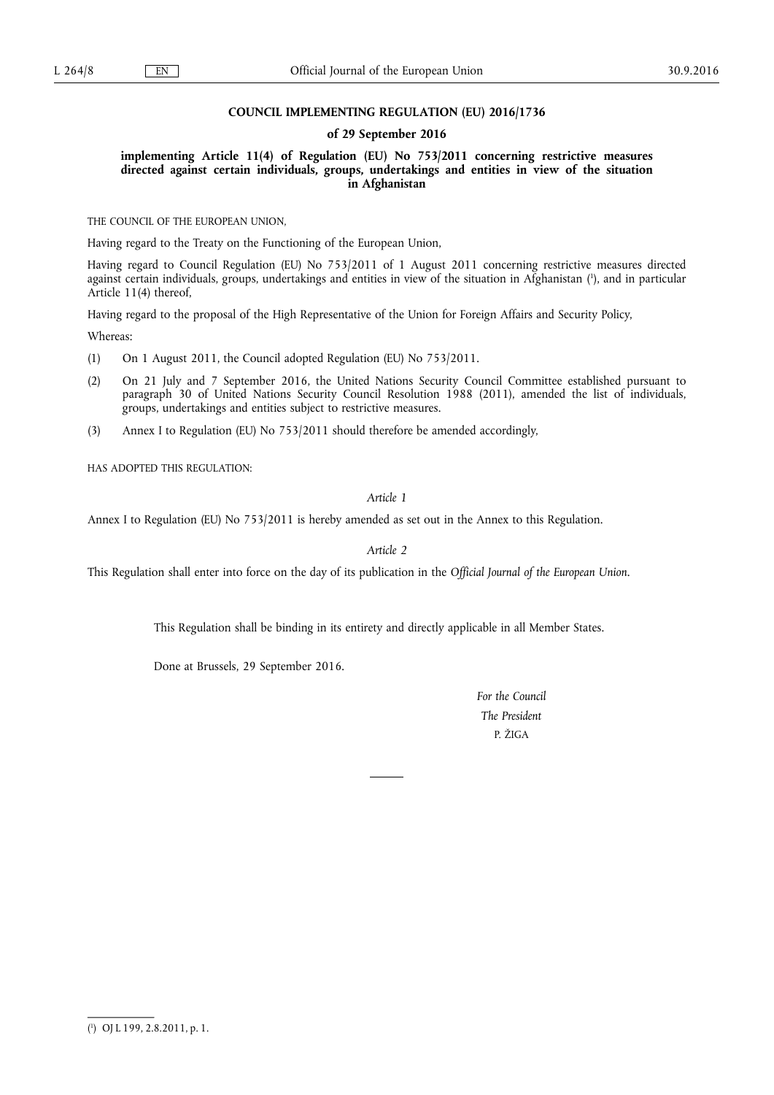# **COUNCIL IMPLEMENTING REGULATION (EU) 2016/1736**

### **of 29 September 2016**

**implementing Article 11(4) of Regulation (EU) No 753/2011 concerning restrictive measures directed against certain individuals, groups, undertakings and entities in view of the situation in Afghanistan** 

THE COUNCIL OF THE EUROPEAN UNION,

Having regard to the Treaty on the Functioning of the European Union,

Having regard to Council Regulation (EU) No 753/2011 of 1 August 2011 concerning restrictive measures directed against certain individuals, groups, undertakings and entities in view of the situation in Afghanistan ( 1 ), and in particular Article 11(4) thereof,

Having regard to the proposal of the High Representative of the Union for Foreign Affairs and Security Policy,

Whereas:

(1) On 1 August 2011, the Council adopted Regulation (EU) No 753/2011.

- (2) On 21 July and 7 September 2016, the United Nations Security Council Committee established pursuant to paragraph 30 of United Nations Security Council Resolution 1988 (2011), amended the list of individuals, groups, undertakings and entities subject to restrictive measures.
- (3) Annex I to Regulation (EU) No 753/2011 should therefore be amended accordingly,

HAS ADOPTED THIS REGULATION:

*Article 1* 

Annex I to Regulation (EU) No 753/2011 is hereby amended as set out in the Annex to this Regulation.

*Article 2* 

This Regulation shall enter into force on the day of its publication in the *Official Journal of the European Union*.

This Regulation shall be binding in its entirety and directly applicable in all Member States.

Done at Brussels, 29 September 2016.

*For the Council The President*  P. ŽIGA

<sup>(</sup> 1 ) OJ L 199, 2.8.2011, p. 1.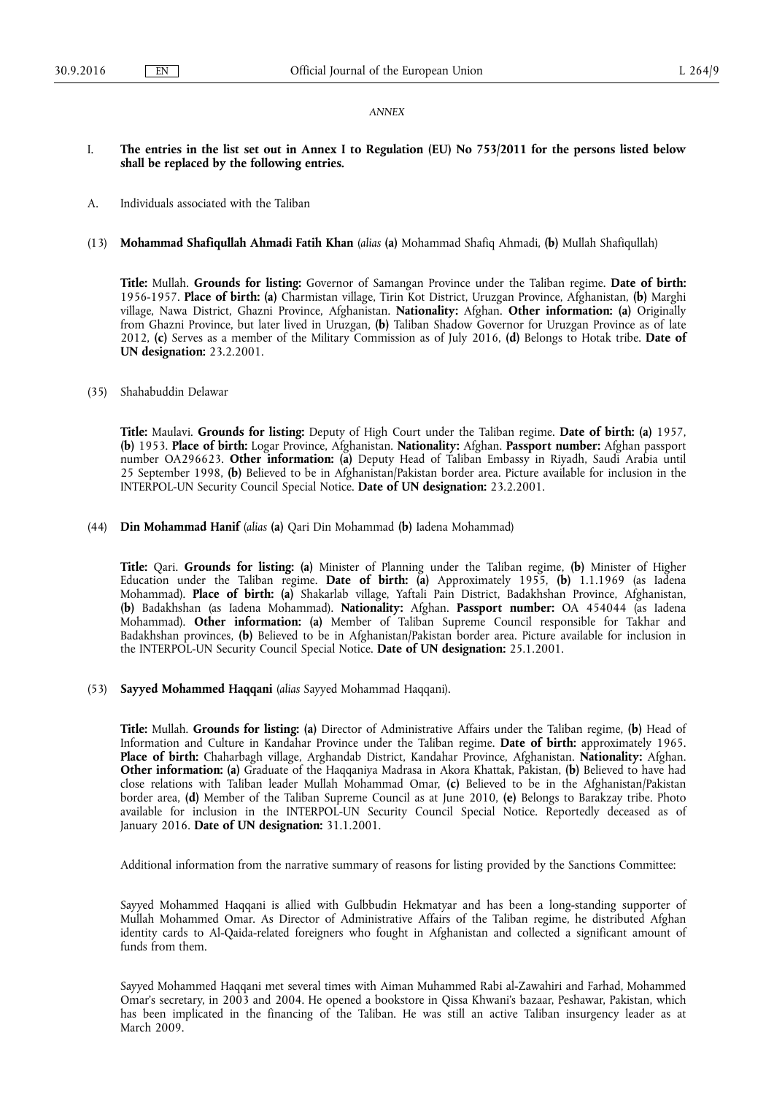#### *ANNEX*

# I. **The entries in the list set out in Annex I to Regulation (EU) No 753/2011 for the persons listed below shall be replaced by the following entries.**

A. Individuals associated with the Taliban

## (13) **Mohammad Shafiqullah Ahmadi Fatih Khan** (*alias* **(a)** Mohammad Shafiq Ahmadi, **(b)** Mullah Shafiqullah)

**Title:** Mullah. **Grounds for listing:** Governor of Samangan Province under the Taliban regime. **Date of birth:**  1956-1957. **Place of birth: (a)** Charmistan village, Tirin Kot District, Uruzgan Province, Afghanistan, **(b)** Marghi village, Nawa District, Ghazni Province, Afghanistan. **Nationality:** Afghan. **Other information: (a)** Originally from Ghazni Province, but later lived in Uruzgan, **(b)** Taliban Shadow Governor for Uruzgan Province as of late 2012, **(c)** Serves as a member of the Military Commission as of July 2016, **(d)** Belongs to Hotak tribe. **Date of UN designation:** 23.2.2001.

## (35) Shahabuddin Delawar

**Title:** Maulavi. **Grounds for listing:** Deputy of High Court under the Taliban regime. **Date of birth: (a)** 1957, **(b)** 1953. **Place of birth:** Logar Province, Afghanistan. **Nationality:** Afghan. **Passport number:** Afghan passport number OA296623. **Other information: (a)** Deputy Head of Taliban Embassy in Riyadh, Saudi Arabia until 25 September 1998, **(b)** Believed to be in Afghanistan/Pakistan border area. Picture available for inclusion in the INTERPOL-UN Security Council Special Notice. **Date of UN designation:** 23.2.2001.

### (44) **Din Mohammad Hanif** (*alias* **(a)** Qari Din Mohammad **(b)** Iadena Mohammad)

**Title:** Qari. **Grounds for listing: (a)** Minister of Planning under the Taliban regime, **(b)** Minister of Higher Education under the Taliban regime. **Date of birth: (a)** Approximately 1955, **(b)** 1.1.1969 (as Iadena Mohammad). **Place of birth: (a)** Shakarlab village, Yaftali Pain District, Badakhshan Province, Afghanistan, **(b)** Badakhshan (as Iadena Mohammad). **Nationality:** Afghan. **Passport number:** OA 454044 (as Iadena Mohammad). **Other information: (a)** Member of Taliban Supreme Council responsible for Takhar and Badakhshan provinces, **(b)** Believed to be in Afghanistan/Pakistan border area. Picture available for inclusion in the INTERPOL-UN Security Council Special Notice. **Date of UN designation:** 25.1.2001.

(53) **Sayyed Mohammed Haqqani** (*alias* Sayyed Mohammad Haqqani).

**Title:** Mullah. **Grounds for listing: (a)** Director of Administrative Affairs under the Taliban regime, **(b)** Head of Information and Culture in Kandahar Province under the Taliban regime. **Date of birth:** approximately 1965. **Place of birth:** Chaharbagh village, Arghandab District, Kandahar Province, Afghanistan. **Nationality:** Afghan. **Other information: (a)** Graduate of the Haqqaniya Madrasa in Akora Khattak, Pakistan, **(b)** Believed to have had close relations with Taliban leader Mullah Mohammad Omar, **(c)** Believed to be in the Afghanistan/Pakistan border area, **(d)** Member of the Taliban Supreme Council as at June 2010, **(e)** Belongs to Barakzay tribe. Photo available for inclusion in the INTERPOL-UN Security Council Special Notice. Reportedly deceased as of January 2016. **Date of UN designation:** 31.1.2001.

Additional information from the narrative summary of reasons for listing provided by the Sanctions Committee:

Sayyed Mohammed Haqqani is allied with Gulbbudin Hekmatyar and has been a long-standing supporter of Mullah Mohammed Omar. As Director of Administrative Affairs of the Taliban regime, he distributed Afghan identity cards to Al-Qaida-related foreigners who fought in Afghanistan and collected a significant amount of funds from them.

Sayyed Mohammed Haqqani met several times with Aiman Muhammed Rabi al-Zawahiri and Farhad, Mohammed Omar's secretary, in 2003 and 2004. He opened a bookstore in Qissa Khwani's bazaar, Peshawar, Pakistan, which has been implicated in the financing of the Taliban. He was still an active Taliban insurgency leader as at March 2009.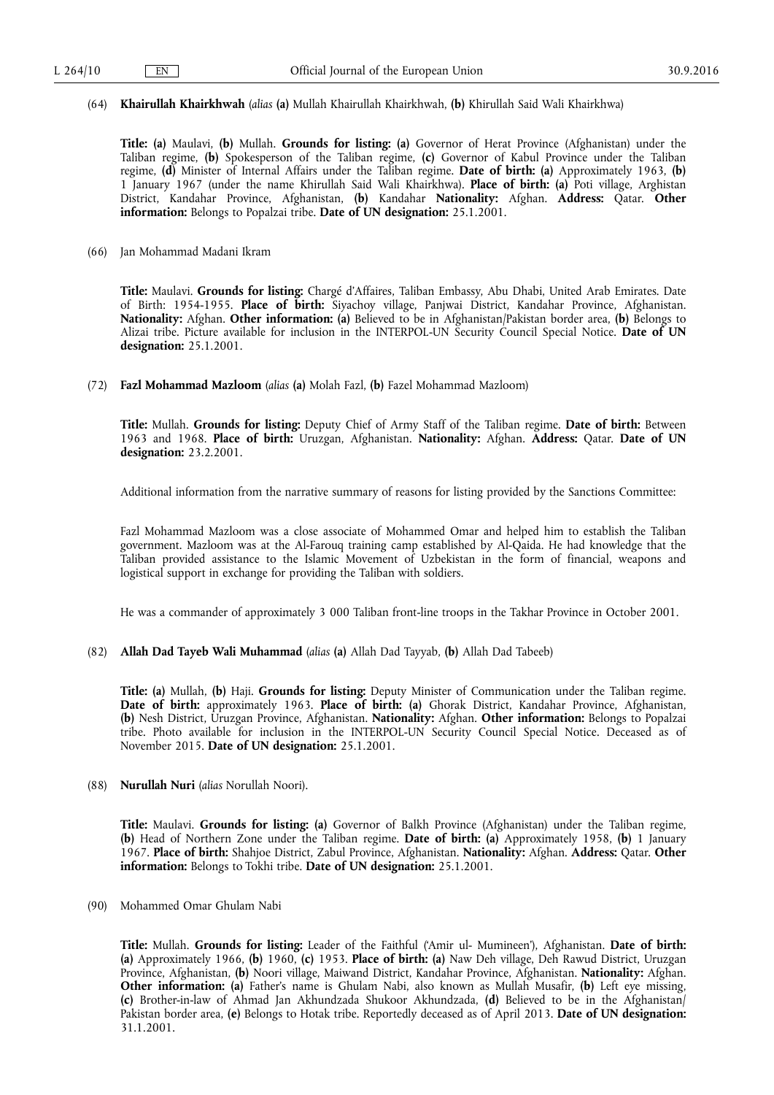#### (64) **Khairullah Khairkhwah** (*alias* **(a)** Mullah Khairullah Khairkhwah, **(b)** Khirullah Said Wali Khairkhwa)

**Title: (a)** Maulavi, **(b)** Mullah. **Grounds for listing: (a)** Governor of Herat Province (Afghanistan) under the Taliban regime, **(b)** Spokesperson of the Taliban regime, **(c)** Governor of Kabul Province under the Taliban regime, **(d)** Minister of Internal Affairs under the Taliban regime. **Date of birth: (a)** Approximately 1963, **(b)**  1 January 1967 (under the name Khirullah Said Wali Khairkhwa). **Place of birth: (a)** Poti village, Arghistan District, Kandahar Province, Afghanistan, **(b)** Kandahar **Nationality:** Afghan. **Address:** Qatar. **Other information:** Belongs to Popalzai tribe. **Date of UN designation:** 25.1.2001.

(66) Jan Mohammad Madani Ikram

**Title:** Maulavi. **Grounds for listing:** Chargé d'Affaires, Taliban Embassy, Abu Dhabi, United Arab Emirates. Date of Birth: 1954-1955. **Place of birth:** Siyachoy village, Panjwai District, Kandahar Province, Afghanistan. **Nationality:** Afghan. **Other information: (a)** Believed to be in Afghanistan/Pakistan border area, **(b)** Belongs to Alizai tribe. Picture available for inclusion in the INTERPOL-UN Security Council Special Notice. **Date of UN designation:** 25.1.2001.

(72) **Fazl Mohammad Mazloom** (*alias* **(a)** Molah Fazl, **(b)** Fazel Mohammad Mazloom)

**Title:** Mullah. **Grounds for listing:** Deputy Chief of Army Staff of the Taliban regime. **Date of birth:** Between 1963 and 1968. **Place of birth:** Uruzgan, Afghanistan. **Nationality:** Afghan. **Address:** Qatar. **Date of UN designation:** 23.2.2001.

Additional information from the narrative summary of reasons for listing provided by the Sanctions Committee:

Fazl Mohammad Mazloom was a close associate of Mohammed Omar and helped him to establish the Taliban government. Mazloom was at the Al-Farouq training camp established by Al-Qaida. He had knowledge that the Taliban provided assistance to the Islamic Movement of Uzbekistan in the form of financial, weapons and logistical support in exchange for providing the Taliban with soldiers.

He was a commander of approximately 3 000 Taliban front-line troops in the Takhar Province in October 2001.

(82) **Allah Dad Tayeb Wali Muhammad** (*alias* **(a)** Allah Dad Tayyab, **(b)** Allah Dad Tabeeb)

**Title: (a)** Mullah, **(b)** Haji. **Grounds for listing:** Deputy Minister of Communication under the Taliban regime. **Date of birth:** approximately 1963. **Place of birth: (a)** Ghorak District, Kandahar Province, Afghanistan, **(b)** Nesh District, Uruzgan Province, Afghanistan. **Nationality:** Afghan. **Other information:** Belongs to Popalzai tribe. Photo available for inclusion in the INTERPOL-UN Security Council Special Notice. Deceased as of November 2015. **Date of UN designation:** 25.1.2001.

(88) **Nurullah Nuri** (*alias* Norullah Noori).

**Title:** Maulavi. **Grounds for listing: (a)** Governor of Balkh Province (Afghanistan) under the Taliban regime, **(b)** Head of Northern Zone under the Taliban regime. **Date of birth: (a)** Approximately 1958, **(b)** 1 January 1967. **Place of birth:** Shahjoe District, Zabul Province, Afghanistan. **Nationality:** Afghan. **Address:** Qatar. **Other information:** Belongs to Tokhi tribe. **Date of UN designation:** 25.1.2001.

(90) Mohammed Omar Ghulam Nabi

**Title:** Mullah. **Grounds for listing:** Leader of the Faithful ('Amir ul- Mumineen'), Afghanistan. **Date of birth: (a)** Approximately 1966, **(b)** 1960, **(c)** 1953. **Place of birth: (a)** Naw Deh village, Deh Rawud District, Uruzgan Province, Afghanistan, **(b)** Noori village, Maiwand District, Kandahar Province, Afghanistan. **Nationality:** Afghan. **Other information: (a)** Father's name is Ghulam Nabi, also known as Mullah Musafir, **(b)** Left eye missing, **(c)** Brother-in-law of Ahmad Jan Akhundzada Shukoor Akhundzada, **(d)** Believed to be in the Afghanistan/ Pakistan border area, **(e)** Belongs to Hotak tribe. Reportedly deceased as of April 2013. **Date of UN designation:**  31.1.2001.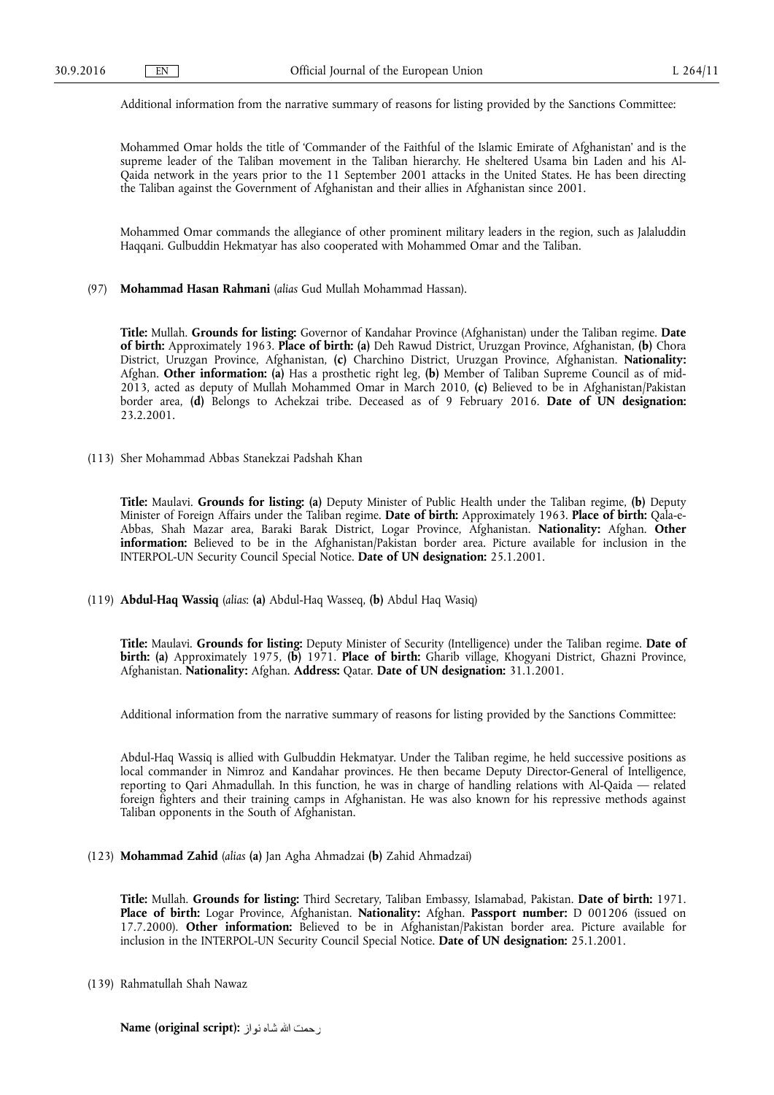Additional information from the narrative summary of reasons for listing provided by the Sanctions Committee:

Mohammed Omar holds the title of 'Commander of the Faithful of the Islamic Emirate of Afghanistan' and is the supreme leader of the Taliban movement in the Taliban hierarchy. He sheltered Usama bin Laden and his Al-Qaida network in the years prior to the 11 September 2001 attacks in the United States. He has been directing the Taliban against the Government of Afghanistan and their allies in Afghanistan since 2001.

Mohammed Omar commands the allegiance of other prominent military leaders in the region, such as Jalaluddin Haqqani. Gulbuddin Hekmatyar has also cooperated with Mohammed Omar and the Taliban.

(97) **Mohammad Hasan Rahmani** (*alias* Gud Mullah Mohammad Hassan).

**Title:** Mullah. **Grounds for listing:** Governor of Kandahar Province (Afghanistan) under the Taliban regime. **Date of birth:** Approximately 1963. **Place of birth: (a)** Deh Rawud District, Uruzgan Province, Afghanistan, **(b)** Chora District, Uruzgan Province, Afghanistan, **(c)** Charchino District, Uruzgan Province, Afghanistan. **Nationality:**  Afghan. **Other information: (a)** Has a prosthetic right leg, **(b)** Member of Taliban Supreme Council as of mid-2013, acted as deputy of Mullah Mohammed Omar in March 2010, **(c)** Believed to be in Afghanistan/Pakistan border area, **(d)** Belongs to Achekzai tribe. Deceased as of 9 February 2016. **Date of UN designation:**  23.2.2001.

(113) Sher Mohammad Abbas Stanekzai Padshah Khan

**Title:** Maulavi. **Grounds for listing: (a)** Deputy Minister of Public Health under the Taliban regime, **(b)** Deputy Minister of Foreign Affairs under the Taliban regime. **Date of birth:** Approximately 1963. **Place of birth:** Qala-e-Abbas, Shah Mazar area, Baraki Barak District, Logar Province, Afghanistan. **Nationality:** Afghan. **Other information:** Believed to be in the Afghanistan/Pakistan border area. Picture available for inclusion in the INTERPOL-UN Security Council Special Notice. **Date of UN designation:** 25.1.2001.

(119) **Abdul-Haq Wassiq** (*alias*: **(a)** Abdul-Haq Wasseq, **(b)** Abdul Haq Wasiq)

**Title:** Maulavi. **Grounds for listing:** Deputy Minister of Security (Intelligence) under the Taliban regime. **Date of birth: (a)** Approximately 1975, **(b)** 1971. **Place of birth:** Gharib village, Khogyani District, Ghazni Province, Afghanistan. **Nationality:** Afghan. **Address:** Qatar. **Date of UN designation:** 31.1.2001.

Additional information from the narrative summary of reasons for listing provided by the Sanctions Committee:

Abdul-Haq Wassiq is allied with Gulbuddin Hekmatyar. Under the Taliban regime, he held successive positions as local commander in Nimroz and Kandahar provinces. He then became Deputy Director-General of Intelligence, reporting to Qari Ahmadullah. In this function, he was in charge of handling relations with Al-Qaida — related foreign fighters and their training camps in Afghanistan. He was also known for his repressive methods against Taliban opponents in the South of Afghanistan.

(123) **Mohammad Zahid** (*alias* **(a)** Jan Agha Ahmadzai **(b)** Zahid Ahmadzai)

**Title:** Mullah. **Grounds for listing:** Third Secretary, Taliban Embassy, Islamabad, Pakistan. **Date of birth:** 1971. **Place of birth:** Logar Province, Afghanistan. **Nationality:** Afghan. **Passport number:** D 001206 (issued on 17.7.2000). **Other information:** Believed to be in Afghanistan/Pakistan border area. Picture available for inclusion in the INTERPOL-UN Security Council Special Notice. **Date of UN designation:** 25.1.2001.

(139) Rahmatullah Shah Nawaz

**Name (original script):**